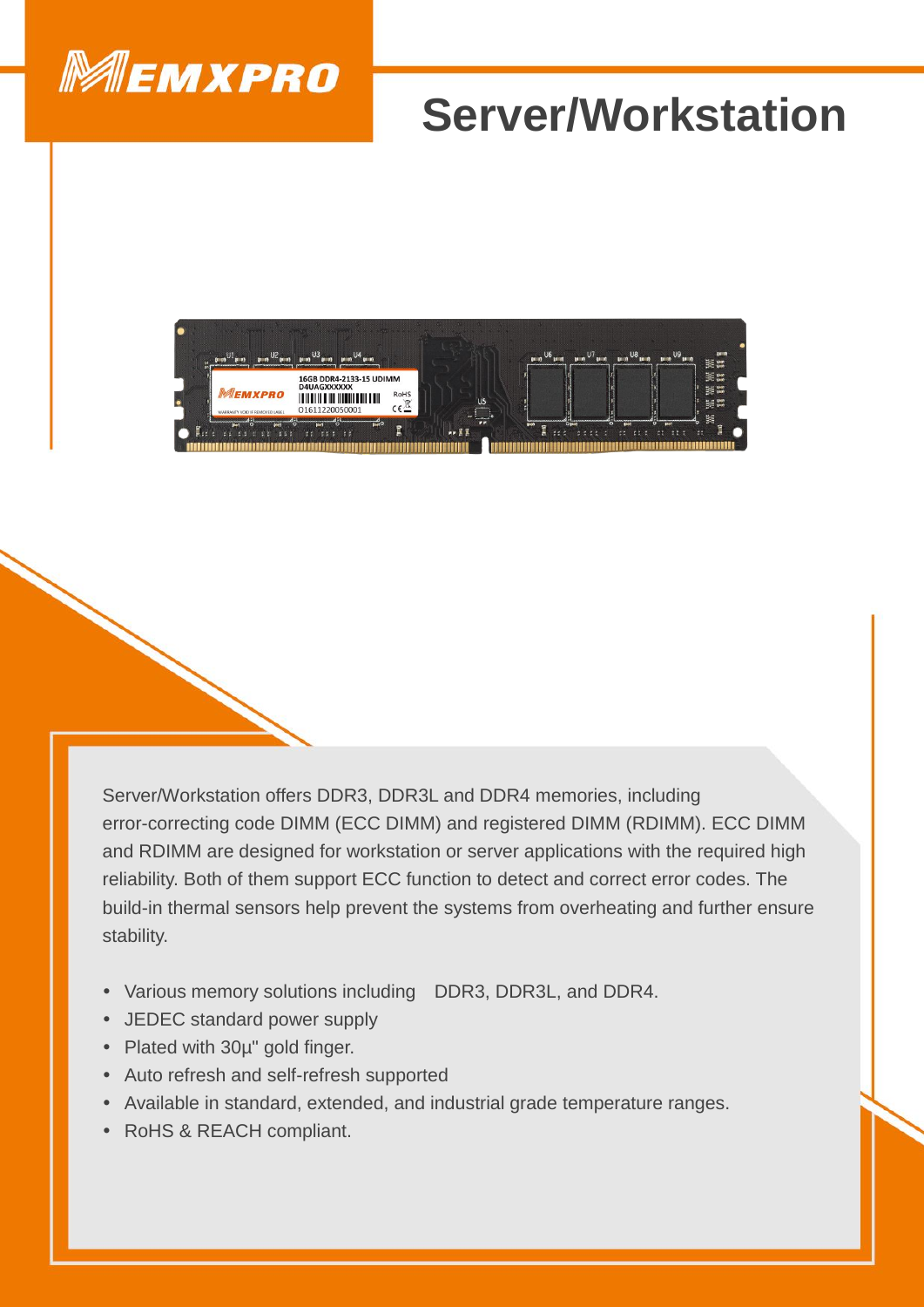

## **Server/Workstation**



Server/Workstation offers DDR3, DDR3L and DDR4 memories, including error-correcting code DIMM (ECC DIMM) and registered DIMM (RDIMM). ECC DIMM and RDIMM are designed for workstation or server applications with the required high reliability. Both of them support ECC function to detect and correct error codes. The build-in thermal sensors help prevent the systems from overheating and further ensure stability.

- Various memory solutions including DDR3, DDR3L, and DDR4.
- JEDEC standard power supply
- Plated with 30µ" gold finger.
- Auto refresh and self-refresh supported
- Available in standard, extended, and industrial grade temperature ranges.
- RoHS & REACH compliant.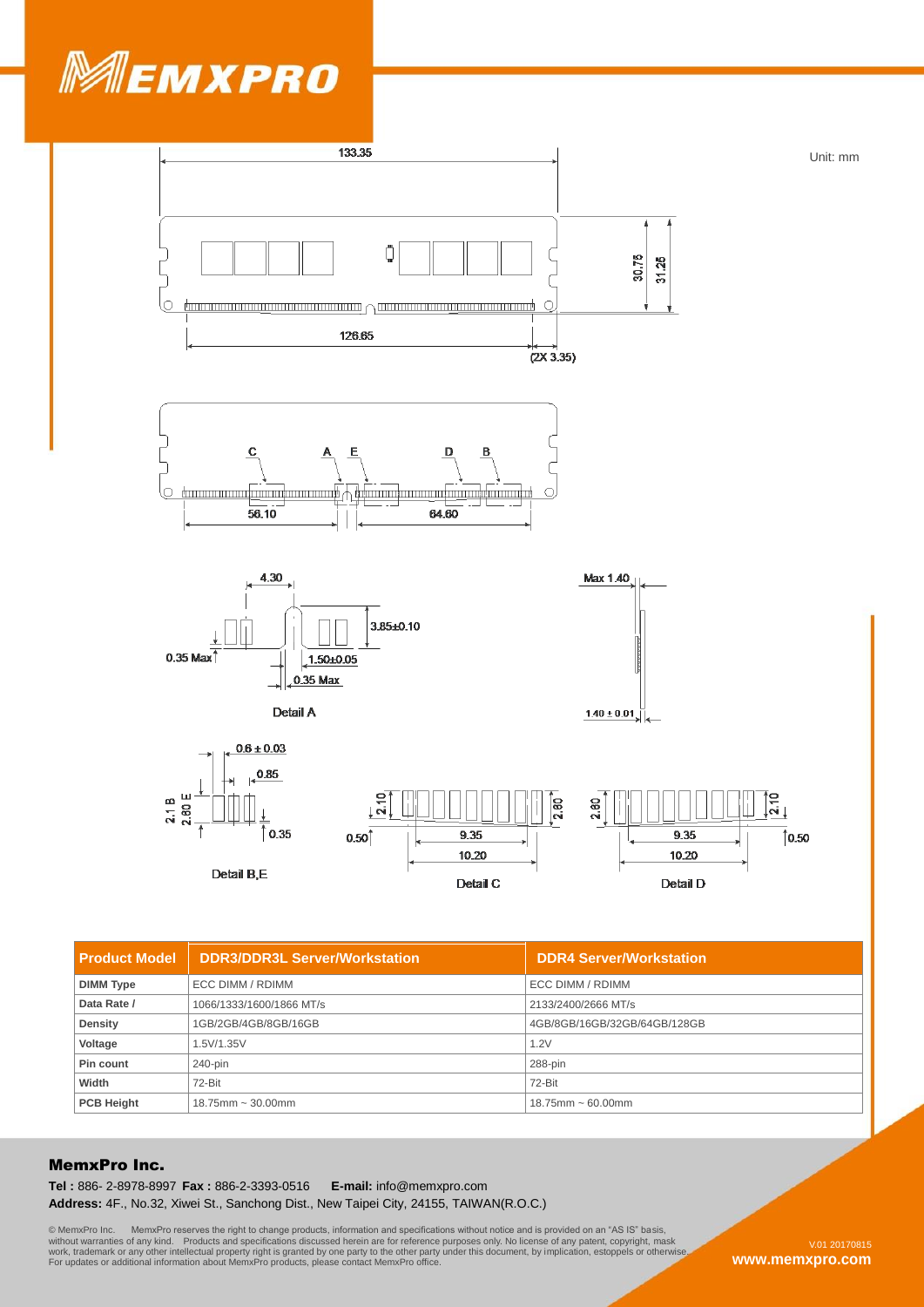



| <b>Product Model</b> | <b>DDR3/DDR3L Server/Workstation</b> | <b>DDR4 Server/Workstation</b> |
|----------------------|--------------------------------------|--------------------------------|
| <b>DIMM Type</b>     | ECC DIMM / RDIMM                     | ECC DIMM / RDIMM               |
| Data Rate /          | 1066/1333/1600/1866 MT/s             | 2133/2400/2666 MT/s            |
| <b>Density</b>       | 1GB/2GB/4GB/8GB/16GB                 | 4GB/8GB/16GB/32GB/64GB/128GB   |
| Voltage              | 1.5V/1.35V                           | 1.2V                           |
| Pin count            | 240-pin                              | 288-pin                        |
| Width                | 72-Bit                               | 72-Bit                         |
| <b>PCB Height</b>    | $18.75$ mm ~ 30.00mm                 | $18.75$ mm ~ 60.00mm           |

## MemxPro Inc.

**Tel :** 886- 2-8978-8997 **Fax :** 886-2-3393-0516 **E-mail:** info@memxpro.com **Address:** 4F., No.32, Xiwei St., Sanchong Dist., New Taipei City, 24155, TAIWAN(R.O.C.)

© MemxPro Inc. MemxPro reserves the right to change products, information and specifications without notice and is provided on an "AS IS" basis,<br>without warranties of any kind. Products and specifications discussed herein

**www.memxpro.com**